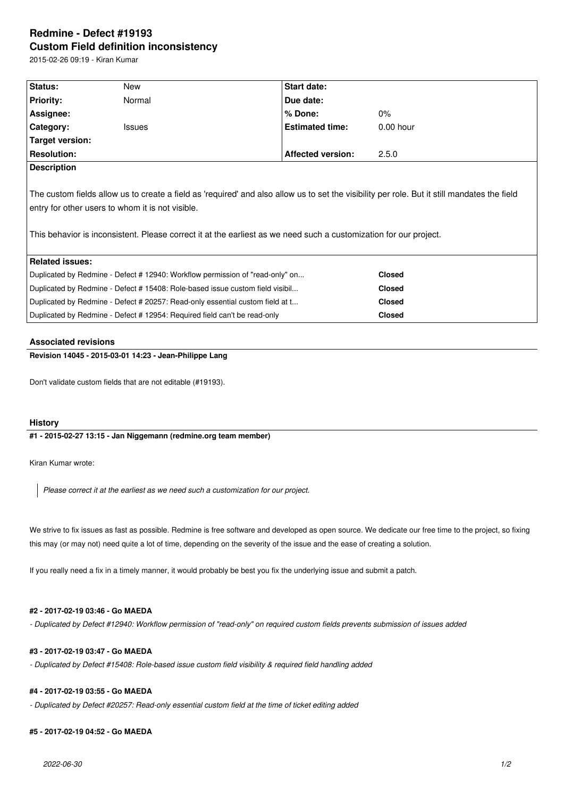# **Redmine - Defect #19193 Custom Field definition inconsistency**

2015-02-26 09:19 - Kiran Kumar

| Status:                                                                                                                                                                                                                                                                                                               | New           | <b>Start date:</b>       |               |
|-----------------------------------------------------------------------------------------------------------------------------------------------------------------------------------------------------------------------------------------------------------------------------------------------------------------------|---------------|--------------------------|---------------|
| <b>Priority:</b>                                                                                                                                                                                                                                                                                                      | Normal        | Due date:                |               |
| Assignee:                                                                                                                                                                                                                                                                                                             |               | % Done:                  | $0\%$         |
| Category:                                                                                                                                                                                                                                                                                                             | <b>Issues</b> | <b>Estimated time:</b>   | $0.00$ hour   |
| Target version:                                                                                                                                                                                                                                                                                                       |               |                          |               |
| <b>Resolution:</b>                                                                                                                                                                                                                                                                                                    |               | <b>Affected version:</b> | 2.5.0         |
| <b>Description</b>                                                                                                                                                                                                                                                                                                    |               |                          |               |
| The custom fields allow us to create a field as 'required' and also allow us to set the visibility per role. But it still mandates the field<br>entry for other users to whom it is not visible.<br>This behavior is inconsistent. Please correct it at the earliest as we need such a customization for our project. |               |                          |               |
| <b>Related issues:</b>                                                                                                                                                                                                                                                                                                |               |                          |               |
| Duplicated by Redmine - Defect # 12940: Workflow permission of "read-only" on                                                                                                                                                                                                                                         |               | <b>Closed</b>            |               |
| Duplicated by Redmine - Defect # 15408: Role-based issue custom field visibil                                                                                                                                                                                                                                         |               |                          | <b>Closed</b> |
| Duplicated by Redmine - Defect # 20257: Read-only essential custom field at t                                                                                                                                                                                                                                         |               |                          | <b>Closed</b> |
| Duplicated by Redmine - Defect # 12954: Required field can't be read-only                                                                                                                                                                                                                                             |               |                          | <b>Closed</b> |

#### **Associated revisions**

## **Revision 14045 - 2015-03-01 14:23 - Jean-Philippe Lang**

Don't validate custom fields that are not editable (#19193).

#### **History**

#### **#1 - 2015-02-27 13:15 - Jan Niggemann (redmine.org team member)**

Kiran Kumar wrote:

*Please correct it at the earliest as we need such a customization for our project.*

We strive to fix issues as fast as possible. Redmine is free software and developed as open source. We dedicate our free time to the project, so fixing this may (or may not) need quite a lot of time, depending on the severity of the issue and the ease of creating a solution.

If you really need a fix in a timely manner, it would probably be best you fix the underlying issue and submit a patch.

## **#2 - 2017-02-19 03:46 - Go MAEDA**

*- Duplicated by Defect #12940: Workflow permission of "read-only" on required custom fields prevents submission of issues added*

## **#3 - 2017-02-19 03:47 - Go MAEDA**

*- Duplicated by Defect #15408: Role-based issue custom field visibility & required field handling added*

## **#4 - 2017-02-19 03:55 - Go MAEDA**

*- Duplicated by Defect #20257: Read-only essential custom field at the time of ticket editing added*

## **#5 - 2017-02-19 04:52 - Go MAEDA**